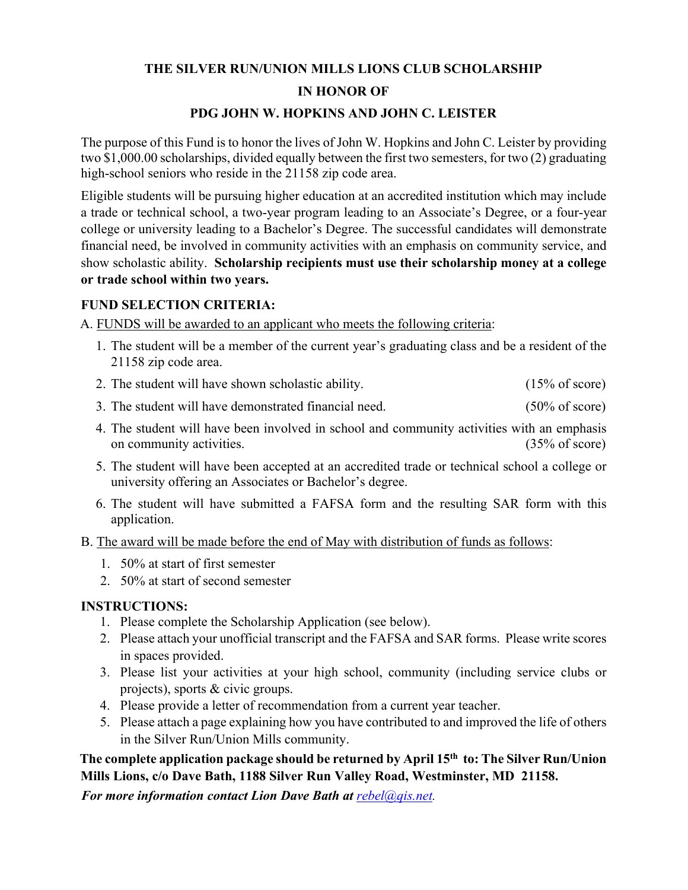# **THE SILVER RUN/UNION MILLS LIONS CLUB SCHOLARSHIP IN HONOR OF**

#### **PDG JOHN W. HOPKINS AND JOHN C. LEISTER**

The purpose of this Fund is to honor the lives of John W. Hopkins and John C. Leister by providing two \$1,000.00 scholarships, divided equally between the first two semesters, for two (2) graduating high-school seniors who reside in the 21158 zip code area.

Eligible students will be pursuing higher education at an accredited institution which may include a trade or technical school, a two-year program leading to an Associate's Degree, or a four-year college or university leading to a Bachelor's Degree. The successful candidates will demonstrate financial need, be involved in community activities with an emphasis on community service, and show scholastic ability. **Scholarship recipients must use their scholarship money at a college or trade school within two years.** 

#### **FUND SELECTION CRITERIA:**

A. FUNDS will be awarded to an applicant who meets the following criteria:

- 1. The student will be a member of the current year's graduating class and be a resident of the 21158 zip code area.
- 2. The student will have shown scholastic ability. (15% of score)
- 3. The student will have demonstrated financial need. (50% of score)
- 4. The student will have been involved in school and community activities with an emphasis on community activities. (35% of score)
- 5. The student will have been accepted at an accredited trade or technical school a college or university offering an Associates or Bachelor's degree.
- 6. The student will have submitted a FAFSA form and the resulting SAR form with this application.
- B. The award will be made before the end of May with distribution of funds as follows:
	- 1. 50% at start of first semester
	- 2. 50% at start of second semester

### **INSTRUCTIONS:**

- 1. Please complete the Scholarship Application (see below).
- 2. Please attach your unofficial transcript and the FAFSA and SAR forms. Please write scores in spaces provided.
- 3. Please list your activities at your high school, community (including service clubs or projects), sports & civic groups.
- 4. Please provide a letter of recommendation from a current year teacher.
- 5. Please attach a page explaining how you have contributed to and improved the life of others in the Silver Run/Union Mills community.

## **The complete application package should be returned by April 15th to: The Silver Run/Union Mills Lions, c/o Dave Bath, 1188 Silver Run Valley Road, Westminster, MD 21158.**

*For more information contact Lion Dave Bath at*  $rebel@qis.net$ *.*